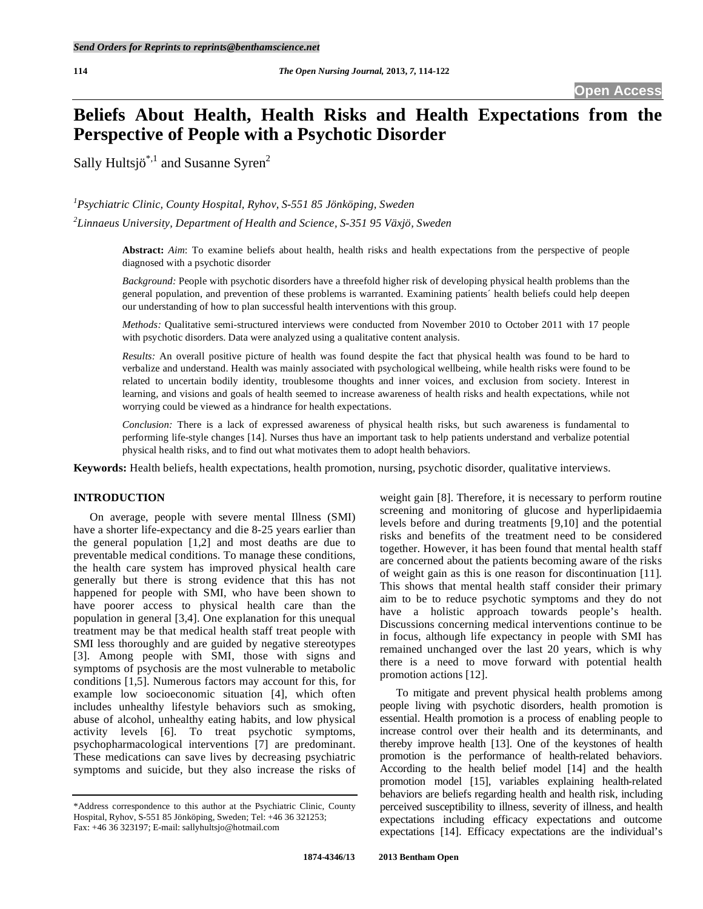# **Beliefs About Health, Health Risks and Health Expectations from the Perspective of People with a Psychotic Disorder**

Sally Hultsjö<sup>\*,1</sup> and Susanne Syren<sup>2</sup>

*1 Psychiatric Clinic, County Hospital, Ryhov, S-551 85 Jönköping, Sweden* 

*2 Linnaeus University, Department of Health and Science, S-351 95 Växjö, Sweden* 

**Abstract:** *Aim*: To examine beliefs about health, health risks and health expectations from the perspective of people diagnosed with a psychotic disorder

*Background:* People with psychotic disorders have a threefold higher risk of developing physical health problems than the general population, and prevention of these problems is warranted. Examining patients´ health beliefs could help deepen our understanding of how to plan successful health interventions with this group.

*Methods:* Qualitative semi-structured interviews were conducted from November 2010 to October 2011 with 17 people with psychotic disorders. Data were analyzed using a qualitative content analysis.

*Results:* An overall positive picture of health was found despite the fact that physical health was found to be hard to verbalize and understand. Health was mainly associated with psychological wellbeing, while health risks were found to be related to uncertain bodily identity, troublesome thoughts and inner voices, and exclusion from society. Interest in learning, and visions and goals of health seemed to increase awareness of health risks and health expectations, while not worrying could be viewed as a hindrance for health expectations.

*Conclusion:* There is a lack of expressed awareness of physical health risks, but such awareness is fundamental to performing life-style changes [14]. Nurses thus have an important task to help patients understand and verbalize potential physical health risks, and to find out what motivates them to adopt health behaviors.

**Keywords:** Health beliefs, health expectations, health promotion, nursing, psychotic disorder, qualitative interviews.

## **INTRODUCTION**

 On average, people with severe mental Illness (SMI) have a shorter life-expectancy and die 8-25 years earlier than the general population [1,2] and most deaths are due to preventable medical conditions. To manage these conditions, the health care system has improved physical health care generally but there is strong evidence that this has not happened for people with SMI, who have been shown to have poorer access to physical health care than the population in general [3,4]. One explanation for this unequal treatment may be that medical health staff treat people with SMI less thoroughly and are guided by negative stereotypes [3]. Among people with SMI, those with signs and symptoms of psychosis are the most vulnerable to metabolic conditions [1,5]. Numerous factors may account for this, for example low socioeconomic situation [4], which often includes unhealthy lifestyle behaviors such as smoking, abuse of alcohol, unhealthy eating habits, and low physical activity levels [6]. To treat psychotic symptoms, psychopharmacological interventions [7] are predominant. These medications can save lives by decreasing psychiatric symptoms and suicide, but they also increase the risks of

\*Address correspondence to this author at the Psychiatric Clinic, County Hospital, Ryhov, S-551 85 Jönköping, Sweden; Tel: +46 36 321253; Fax: +46 36 323197; E-mail: sallyhultsjo@hotmail.com

weight gain [8]. Therefore, it is necessary to perform routine screening and monitoring of glucose and hyperlipidaemia levels before and during treatments [9,10] and the potential risks and benefits of the treatment need to be considered together. However, it has been found that mental health staff are concerned about the patients becoming aware of the risks of weight gain as this is one reason for discontinuation [11]. This shows that mental health staff consider their primary aim to be to reduce psychotic symptoms and they do not have a holistic approach towards people's health. Discussions concerning medical interventions continue to be in focus, although life expectancy in people with SMI has remained unchanged over the last 20 years, which is why there is a need to move forward with potential health promotion actions [12].

 To mitigate and prevent physical health problems among people living with psychotic disorders, health promotion is essential. Health promotion is a process of enabling people to increase control over their health and its determinants, and thereby improve health [13]. One of the keystones of health promotion is the performance of health-related behaviors. According to the health belief model [14] and the health promotion model [15], variables explaining health-related behaviors are beliefs regarding health and health risk, including perceived susceptibility to illness, severity of illness, and health expectations including efficacy expectations and outcome expectations [14]. Efficacy expectations are the individual's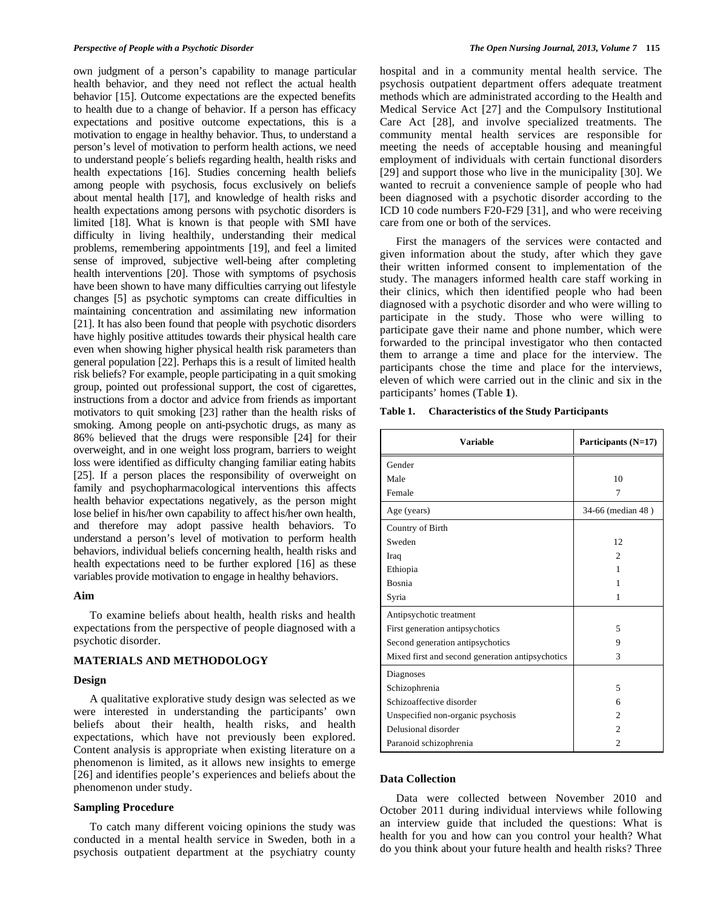own judgment of a person's capability to manage particular health behavior, and they need not reflect the actual health behavior [15]. Outcome expectations are the expected benefits to health due to a change of behavior. If a person has efficacy expectations and positive outcome expectations, this is a motivation to engage in healthy behavior. Thus, to understand a person's level of motivation to perform health actions, we need to understand people´s beliefs regarding health, health risks and health expectations [16]. Studies concerning health beliefs among people with psychosis, focus exclusively on beliefs about mental health [17], and knowledge of health risks and health expectations among persons with psychotic disorders is limited [18]. What is known is that people with SMI have difficulty in living healthily, understanding their medical problems, remembering appointments [19], and feel a limited sense of improved, subjective well-being after completing health interventions [20]. Those with symptoms of psychosis have been shown to have many difficulties carrying out lifestyle changes [5] as psychotic symptoms can create difficulties in maintaining concentration and assimilating new information [21]. It has also been found that people with psychotic disorders have highly positive attitudes towards their physical health care even when showing higher physical health risk parameters than general population [22]. Perhaps this is a result of limited health risk beliefs? For example, people participating in a quit smoking group, pointed out professional support, the cost of cigarettes, instructions from a doctor and advice from friends as important motivators to quit smoking [23] rather than the health risks of smoking. Among people on anti-psychotic drugs, as many as 86% believed that the drugs were responsible [24] for their overweight, and in one weight loss program, barriers to weight loss were identified as difficulty changing familiar eating habits [25]. If a person places the responsibility of overweight on family and psychopharmacological interventions this affects health behavior expectations negatively, as the person might lose belief in his/her own capability to affect his/her own health, and therefore may adopt passive health behaviors. To understand a person's level of motivation to perform health behaviors, individual beliefs concerning health, health risks and health expectations need to be further explored [16] as these variables provide motivation to engage in healthy behaviors.

#### **Aim**

 To examine beliefs about health, health risks and health expectations from the perspective of people diagnosed with a psychotic disorder.

## **MATERIALS AND METHODOLOGY**

## **Design**

 A qualitative explorative study design was selected as we were interested in understanding the participants' own beliefs about their health, health risks, and health expectations, which have not previously been explored. Content analysis is appropriate when existing literature on a phenomenon is limited, as it allows new insights to emerge [26] and identifies people's experiences and beliefs about the phenomenon under study.

# **Sampling Procedure**

 To catch many different voicing opinions the study was conducted in a mental health service in Sweden, both in a psychosis outpatient department at the psychiatry county

hospital and in a community mental health service. The psychosis outpatient department offers adequate treatment methods which are administrated according to the Health and Medical Service Act [27] and the Compulsory Institutional Care Act [28], and involve specialized treatments. The community mental health services are responsible for meeting the needs of acceptable housing and meaningful employment of individuals with certain functional disorders [29] and support those who live in the municipality [30]. We wanted to recruit a convenience sample of people who had been diagnosed with a psychotic disorder according to the ICD 10 code numbers F20-F29 [31], and who were receiving care from one or both of the services.

 First the managers of the services were contacted and given information about the study, after which they gave their written informed consent to implementation of the study. The managers informed health care staff working in their clinics, which then identified people who had been diagnosed with a psychotic disorder and who were willing to participate in the study. Those who were willing to participate gave their name and phone number, which were forwarded to the principal investigator who then contacted them to arrange a time and place for the interview. The participants chose the time and place for the interviews, eleven of which were carried out in the clinic and six in the participants' homes (Table **1**).

**Table 1. Characteristics of the Study Participants** 

| <b>Variable</b>                                  | Participants (N=17) |
|--------------------------------------------------|---------------------|
| Gender                                           |                     |
| Male                                             | 10                  |
| Female                                           | 7                   |
| Age (years)                                      | 34-66 (median 48)   |
| Country of Birth                                 |                     |
| Sweden                                           | 12                  |
| Iraq                                             | $\mathfrak{D}$      |
| Ethiopia                                         | 1                   |
| Bosnia                                           | 1                   |
| Syria                                            | 1                   |
| Antipsychotic treatment                          |                     |
| First generation antipsychotics                  | 5                   |
| Second generation antipsychotics                 | 9                   |
| Mixed first and second generation antipsychotics | 3                   |
| Diagnoses                                        |                     |
| Schizophrenia                                    | 5                   |
| Schizoaffective disorder                         | 6                   |
| Unspecified non-organic psychosis                | $\overline{c}$      |
| Delusional disorder                              | $\overline{c}$      |
| Paranoid schizophrenia                           | $\mathfrak{D}$      |

## **Data Collection**

 Data were collected between November 2010 and October 2011 during individual interviews while following an interview guide that included the questions: What is health for you and how can you control your health? What do you think about your future health and health risks? Three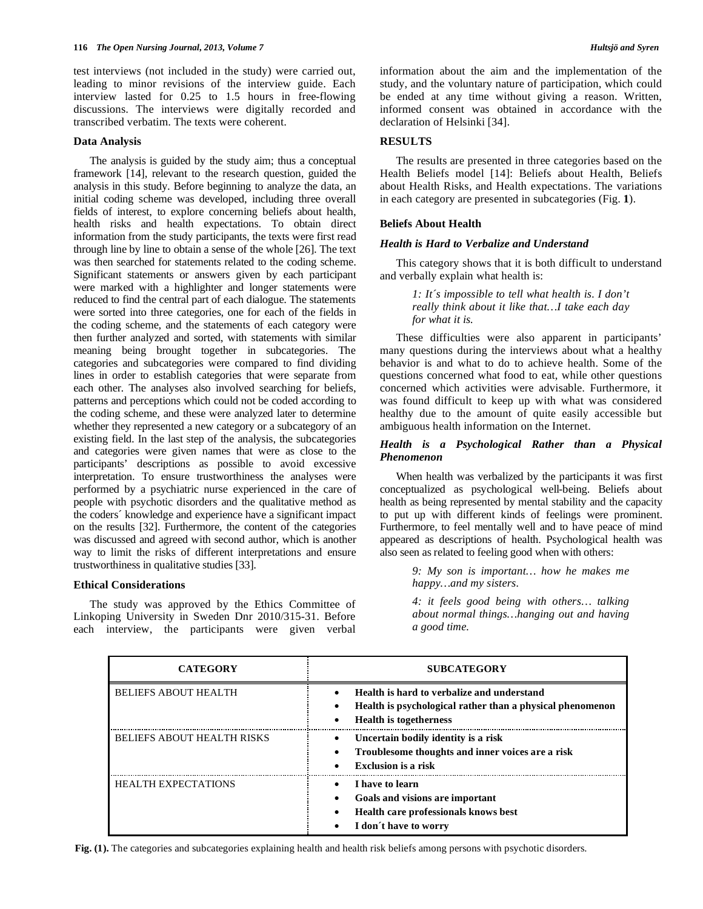test interviews (not included in the study) were carried out, leading to minor revisions of the interview guide. Each interview lasted for 0.25 to 1.5 hours in free-flowing discussions. The interviews were digitally recorded and transcribed verbatim. The texts were coherent.

#### **Data Analysis**

 The analysis is guided by the study aim; thus a conceptual framework [14], relevant to the research question, guided the analysis in this study. Before beginning to analyze the data, an initial coding scheme was developed, including three overall fields of interest, to explore concerning beliefs about health, health risks and health expectations. To obtain direct information from the study participants, the texts were first read through line by line to obtain a sense of the whole [26]. The text was then searched for statements related to the coding scheme. Significant statements or answers given by each participant were marked with a highlighter and longer statements were reduced to find the central part of each dialogue. The statements were sorted into three categories, one for each of the fields in the coding scheme, and the statements of each category were then further analyzed and sorted, with statements with similar meaning being brought together in subcategories. The categories and subcategories were compared to find dividing lines in order to establish categories that were separate from each other. The analyses also involved searching for beliefs, patterns and perceptions which could not be coded according to the coding scheme, and these were analyzed later to determine whether they represented a new category or a subcategory of an existing field. In the last step of the analysis, the subcategories and categories were given names that were as close to the participants' descriptions as possible to avoid excessive interpretation. To ensure trustworthiness the analyses were performed by a psychiatric nurse experienced in the care of people with psychotic disorders and the qualitative method as the coders´ knowledge and experience have a significant impact on the results [32]. Furthermore, the content of the categories was discussed and agreed with second author, which is another way to limit the risks of different interpretations and ensure trustworthiness in qualitative studies [33].

#### **Ethical Considerations**

 The study was approved by the Ethics Committee of Linkoping University in Sweden Dnr 2010/315-31. Before each interview, the participants were given verbal

information about the aim and the implementation of the study, and the voluntary nature of participation, which could be ended at any time without giving a reason. Written, informed consent was obtained in accordance with the declaration of Helsinki [34].

## **RESULTS**

 The results are presented in three categories based on the Health Beliefs model [14]: Beliefs about Health, Beliefs about Health Risks, and Health expectations. The variations in each category are presented in subcategories (Fig. **1**).

## **Beliefs About Health**

## *Health is Hard to Verbalize and Understand*

 This category shows that it is both difficult to understand and verbally explain what health is:

> *1: It´s impossible to tell what health is. I don't really think about it like that…I take each day for what it is.*

 These difficulties were also apparent in participants' many questions during the interviews about what a healthy behavior is and what to do to achieve health. Some of the questions concerned what food to eat, while other questions concerned which activities were advisable. Furthermore, it was found difficult to keep up with what was considered healthy due to the amount of quite easily accessible but ambiguous health information on the Internet.

## *Health is a Psychological Rather than a Physical Phenomenon*

 When health was verbalized by the participants it was first conceptualized as psychological well-being. Beliefs about health as being represented by mental stability and the capacity to put up with different kinds of feelings were prominent. Furthermore, to feel mentally well and to have peace of mind appeared as descriptions of health. Psychological health was also seen as related to feeling good when with others:

> *9: My son is important… how he makes me happy…and my sisters.*

> *4: it feels good being with others… talking about normal things…hanging out and having a good time.*

| <b>CATEGORY</b>                   | <b>SUBCATEGORY</b>                                                                                                                       |
|-----------------------------------|------------------------------------------------------------------------------------------------------------------------------------------|
| <b>BELIEFS ABOUT HEALTH</b>       | Health is hard to verbalize and understand<br>Health is psychological rather than a physical phenomenon<br><b>Health</b> is togetherness |
| <b>BELIEFS ABOUT HEALTH RISKS</b> | Uncertain bodily identity is a risk<br>Troublesome thoughts and inner voices are a risk<br>Exclusion is a risk<br>$\bullet$              |
| <b>HEALTH EXPECTATIONS</b>        | I have to learn<br>Goals and visions are important<br>٠<br><b>Health care professionals knows best</b><br>I don't have to worry          |

**Fig. (1).** The categories and subcategories explaining health and health risk beliefs among persons with psychotic disorders.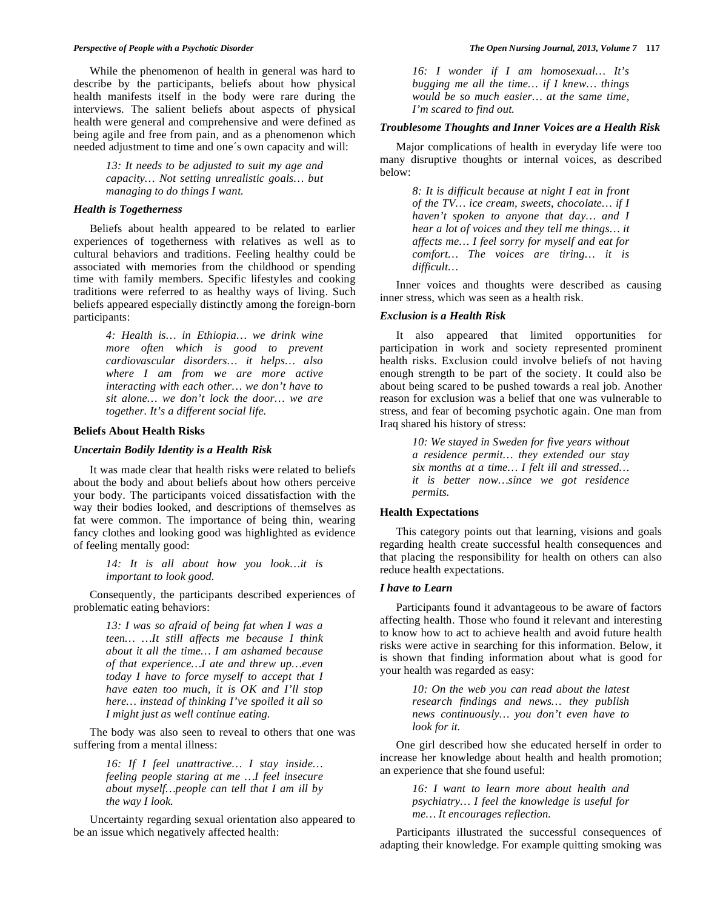#### *Perspective of People with a Psychotic Disorder The Open Nursing Journal, 2013, Volume 7* **117**

 While the phenomenon of health in general was hard to describe by the participants, beliefs about how physical health manifests itself in the body were rare during the interviews. The salient beliefs about aspects of physical health were general and comprehensive and were defined as being agile and free from pain, and as a phenomenon which needed adjustment to time and one´s own capacity and will:

> *13: It needs to be adjusted to suit my age and capacity… Not setting unrealistic goals… but managing to do things I want.*

## *Health is Togetherness*

 Beliefs about health appeared to be related to earlier experiences of togetherness with relatives as well as to cultural behaviors and traditions. Feeling healthy could be associated with memories from the childhood or spending time with family members. Specific lifestyles and cooking traditions were referred to as healthy ways of living. Such beliefs appeared especially distinctly among the foreign-born participants:

> *4: Health is… in Ethiopia… we drink wine more often which is good to prevent cardiovascular disorders… it helps… also where I am from we are more active interacting with each other… we don't have to sit alone… we don't lock the door… we are together. It's a different social life.*

#### **Beliefs About Health Risks**

#### *Uncertain Bodily Identity is a Health Risk*

 It was made clear that health risks were related to beliefs about the body and about beliefs about how others perceive your body. The participants voiced dissatisfaction with the way their bodies looked, and descriptions of themselves as fat were common. The importance of being thin, wearing fancy clothes and looking good was highlighted as evidence of feeling mentally good:

> *14: It is all about how you look…it is important to look good.*

 Consequently, the participants described experiences of problematic eating behaviors:

> *13: I was so afraid of being fat when I was a teen… …It still affects me because I think about it all the time… I am ashamed because of that experience…I ate and threw up…even today I have to force myself to accept that I have eaten too much, it is OK and I'll stop here… instead of thinking I've spoiled it all so I might just as well continue eating.*

 The body was also seen to reveal to others that one was suffering from a mental illness:

> *16: If I feel unattractive… I stay inside… feeling people staring at me …I feel insecure about myself…people can tell that I am ill by the way I look.*

 Uncertainty regarding sexual orientation also appeared to be an issue which negatively affected health:

*16: I wonder if I am homosexual… It's bugging me all the time… if I knew… things would be so much easier… at the same time, I'm scared to find out.* 

#### *Troublesome Thoughts and Inner Voices are a Health Risk*

 Major complications of health in everyday life were too many disruptive thoughts or internal voices, as described below:

> *8: It is difficult because at night I eat in front of the TV… ice cream, sweets, chocolate… if I haven't spoken to anyone that day… and I hear a lot of voices and they tell me things… it affects me… I feel sorry for myself and eat for comfort… The voices are tiring… it is difficult…*

 Inner voices and thoughts were described as causing inner stress, which was seen as a health risk.

## *Exclusion is a Health Risk*

 It also appeared that limited opportunities for participation in work and society represented prominent health risks. Exclusion could involve beliefs of not having enough strength to be part of the society. It could also be about being scared to be pushed towards a real job. Another reason for exclusion was a belief that one was vulnerable to stress, and fear of becoming psychotic again. One man from Iraq shared his history of stress:

> *10: We stayed in Sweden for five years without a residence permit… they extended our stay six months at a time… I felt ill and stressed… it is better now…since we got residence permits.*

## **Health Expectations**

 This category points out that learning, visions and goals regarding health create successful health consequences and that placing the responsibility for health on others can also reduce health expectations.

# *I have to Learn*

 Participants found it advantageous to be aware of factors affecting health. Those who found it relevant and interesting to know how to act to achieve health and avoid future health risks were active in searching for this information. Below, it is shown that finding information about what is good for your health was regarded as easy:

> *10: On the web you can read about the latest research findings and news… they publish news continuously… you don't even have to look for it.*

 One girl described how she educated herself in order to increase her knowledge about health and health promotion; an experience that she found useful:

> *16: I want to learn more about health and psychiatry… I feel the knowledge is useful for me… It encourages reflection.*

 Participants illustrated the successful consequences of adapting their knowledge. For example quitting smoking was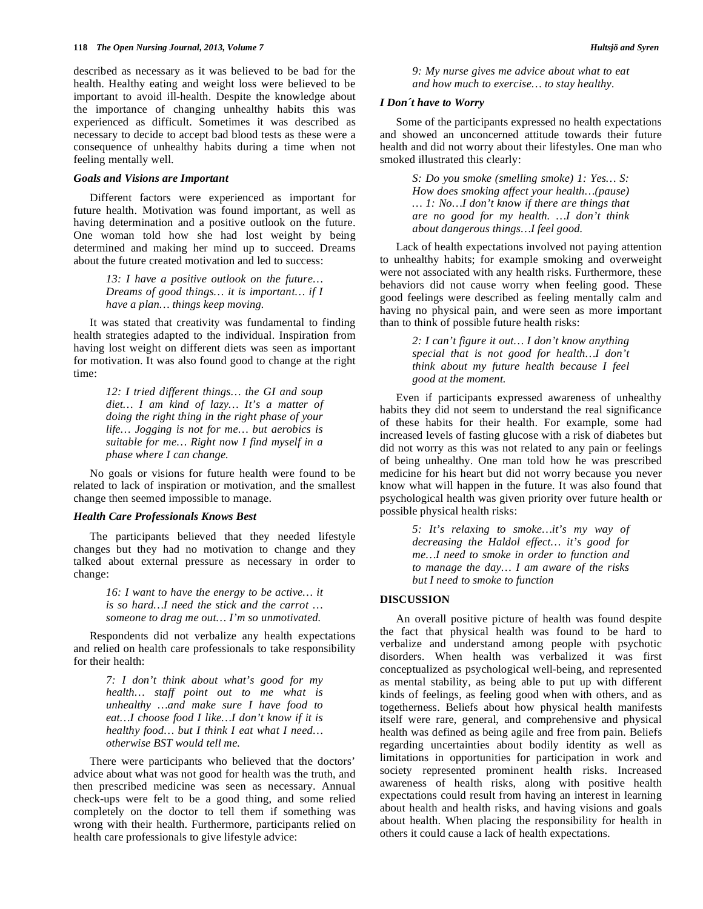described as necessary as it was believed to be bad for the health. Healthy eating and weight loss were believed to be important to avoid ill-health. Despite the knowledge about the importance of changing unhealthy habits this was experienced as difficult. Sometimes it was described as necessary to decide to accept bad blood tests as these were a consequence of unhealthy habits during a time when not feeling mentally well.

#### *Goals and Visions are Important*

 Different factors were experienced as important for future health. Motivation was found important, as well as having determination and a positive outlook on the future. One woman told how she had lost weight by being determined and making her mind up to succeed. Dreams about the future created motivation and led to success:

> *13: I have a positive outlook on the future… Dreams of good things… it is important… if I have a plan… things keep moving.*

 It was stated that creativity was fundamental to finding health strategies adapted to the individual. Inspiration from having lost weight on different diets was seen as important for motivation. It was also found good to change at the right time:

> *12: I tried different things… the GI and soup diet… I am kind of lazy… It's a matter of doing the right thing in the right phase of your life… Jogging is not for me… but aerobics is suitable for me… Right now I find myself in a phase where I can change.*

 No goals or visions for future health were found to be related to lack of inspiration or motivation, and the smallest change then seemed impossible to manage.

#### *Health Care Professionals Knows Best*

 The participants believed that they needed lifestyle changes but they had no motivation to change and they talked about external pressure as necessary in order to change:

> *16: I want to have the energy to be active… it is so hard…I need the stick and the carrot … someone to drag me out… I'm so unmotivated.*

 Respondents did not verbalize any health expectations and relied on health care professionals to take responsibility for their health:

> *7: I don't think about what's good for my health… staff point out to me what is unhealthy …and make sure I have food to eat…I choose food I like…I don't know if it is healthy food… but I think I eat what I need… otherwise BST would tell me.*

 There were participants who believed that the doctors' advice about what was not good for health was the truth, and then prescribed medicine was seen as necessary. Annual check-ups were felt to be a good thing, and some relied completely on the doctor to tell them if something was wrong with their health. Furthermore, participants relied on health care professionals to give lifestyle advice:

*9: My nurse gives me advice about what to eat and how much to exercise… to stay healthy.* 

## *I Don´t have to Worry*

 Some of the participants expressed no health expectations and showed an unconcerned attitude towards their future health and did not worry about their lifestyles. One man who smoked illustrated this clearly:

> *S: Do you smoke (smelling smoke) 1: Yes… S: How does smoking affect your health…(pause) … 1: No…I don't know if there are things that are no good for my health. …I don't think about dangerous things…I feel good.*

 Lack of health expectations involved not paying attention to unhealthy habits; for example smoking and overweight were not associated with any health risks. Furthermore, these behaviors did not cause worry when feeling good. These good feelings were described as feeling mentally calm and having no physical pain, and were seen as more important than to think of possible future health risks:

> *2: I can't figure it out… I don't know anything special that is not good for health…I don't think about my future health because I feel good at the moment.*

 Even if participants expressed awareness of unhealthy habits they did not seem to understand the real significance of these habits for their health. For example, some had increased levels of fasting glucose with a risk of diabetes but did not worry as this was not related to any pain or feelings of being unhealthy. One man told how he was prescribed medicine for his heart but did not worry because you never know what will happen in the future. It was also found that psychological health was given priority over future health or possible physical health risks:

> *5: It's relaxing to smoke…it's my way of decreasing the Haldol effect… it's good for me…I need to smoke in order to function and to manage the day… I am aware of the risks but I need to smoke to function*

#### **DISCUSSION**

 An overall positive picture of health was found despite the fact that physical health was found to be hard to verbalize and understand among people with psychotic disorders. When health was verbalized it was first conceptualized as psychological well-being, and represented as mental stability, as being able to put up with different kinds of feelings, as feeling good when with others, and as togetherness. Beliefs about how physical health manifests itself were rare, general, and comprehensive and physical health was defined as being agile and free from pain. Beliefs regarding uncertainties about bodily identity as well as limitations in opportunities for participation in work and society represented prominent health risks. Increased awareness of health risks, along with positive health expectations could result from having an interest in learning about health and health risks, and having visions and goals about health. When placing the responsibility for health in others it could cause a lack of health expectations.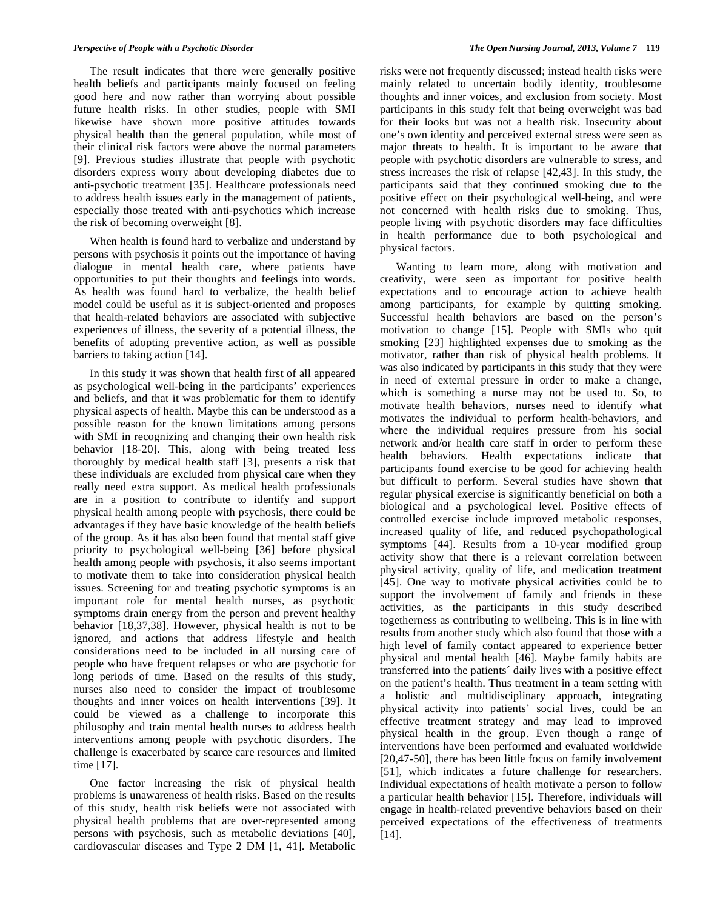The result indicates that there were generally positive health beliefs and participants mainly focused on feeling good here and now rather than worrying about possible future health risks. In other studies, people with SMI likewise have shown more positive attitudes towards physical health than the general population, while most of their clinical risk factors were above the normal parameters [9]. Previous studies illustrate that people with psychotic disorders express worry about developing diabetes due to anti-psychotic treatment [35]. Healthcare professionals need to address health issues early in the management of patients, especially those treated with anti-psychotics which increase the risk of becoming overweight [8].

 When health is found hard to verbalize and understand by persons with psychosis it points out the importance of having dialogue in mental health care, where patients have opportunities to put their thoughts and feelings into words. As health was found hard to verbalize, the health belief model could be useful as it is subject-oriented and proposes that health-related behaviors are associated with subjective experiences of illness, the severity of a potential illness, the benefits of adopting preventive action, as well as possible barriers to taking action [14].

 In this study it was shown that health first of all appeared as psychological well-being in the participants' experiences and beliefs, and that it was problematic for them to identify physical aspects of health. Maybe this can be understood as a possible reason for the known limitations among persons with SMI in recognizing and changing their own health risk behavior [18-20]. This, along with being treated less thoroughly by medical health staff [3], presents a risk that these individuals are excluded from physical care when they really need extra support. As medical health professionals are in a position to contribute to identify and support physical health among people with psychosis, there could be advantages if they have basic knowledge of the health beliefs of the group. As it has also been found that mental staff give priority to psychological well-being [36] before physical health among people with psychosis, it also seems important to motivate them to take into consideration physical health issues. Screening for and treating psychotic symptoms is an important role for mental health nurses, as psychotic symptoms drain energy from the person and prevent healthy behavior [18,37,38]. However, physical health is not to be ignored, and actions that address lifestyle and health considerations need to be included in all nursing care of people who have frequent relapses or who are psychotic for long periods of time. Based on the results of this study, nurses also need to consider the impact of troublesome thoughts and inner voices on health interventions [39]. It could be viewed as a challenge to incorporate this philosophy and train mental health nurses to address health interventions among people with psychotic disorders. The challenge is exacerbated by scarce care resources and limited time [17].

 One factor increasing the risk of physical health problems is unawareness of health risks. Based on the results of this study, health risk beliefs were not associated with physical health problems that are over-represented among persons with psychosis, such as metabolic deviations [40], cardiovascular diseases and Type 2 DM [1, 41]. Metabolic

risks were not frequently discussed; instead health risks were mainly related to uncertain bodily identity, troublesome thoughts and inner voices, and exclusion from society. Most participants in this study felt that being overweight was bad for their looks but was not a health risk. Insecurity about one's own identity and perceived external stress were seen as major threats to health. It is important to be aware that people with psychotic disorders are vulnerable to stress, and stress increases the risk of relapse [42,43]. In this study, the participants said that they continued smoking due to the positive effect on their psychological well-being, and were not concerned with health risks due to smoking. Thus, people living with psychotic disorders may face difficulties in health performance due to both psychological and physical factors.

 Wanting to learn more, along with motivation and creativity, were seen as important for positive health expectations and to encourage action to achieve health among participants, for example by quitting smoking. Successful health behaviors are based on the person's motivation to change [15]. People with SMIs who quit smoking [23] highlighted expenses due to smoking as the motivator, rather than risk of physical health problems. It was also indicated by participants in this study that they were in need of external pressure in order to make a change, which is something a nurse may not be used to. So, to motivate health behaviors, nurses need to identify what motivates the individual to perform health-behaviors, and where the individual requires pressure from his social network and/or health care staff in order to perform these health behaviors. Health expectations indicate that participants found exercise to be good for achieving health but difficult to perform. Several studies have shown that regular physical exercise is significantly beneficial on both a biological and a psychological level. Positive effects of controlled exercise include improved metabolic responses, increased quality of life, and reduced psychopathological symptoms [44]. Results from a 10-year modified group activity show that there is a relevant correlation between physical activity, quality of life, and medication treatment [45]. One way to motivate physical activities could be to support the involvement of family and friends in these activities, as the participants in this study described togetherness as contributing to wellbeing. This is in line with results from another study which also found that those with a high level of family contact appeared to experience better physical and mental health [46]. Maybe family habits are transferred into the patients´ daily lives with a positive effect on the patient's health. Thus treatment in a team setting with a holistic and multidisciplinary approach, integrating physical activity into patients' social lives, could be an effective treatment strategy and may lead to improved physical health in the group. Even though a range of interventions have been performed and evaluated worldwide [20,47-50], there has been little focus on family involvement [51], which indicates a future challenge for researchers. Individual expectations of health motivate a person to follow a particular health behavior [15]. Therefore, individuals will engage in health-related preventive behaviors based on their perceived expectations of the effectiveness of treatments [14].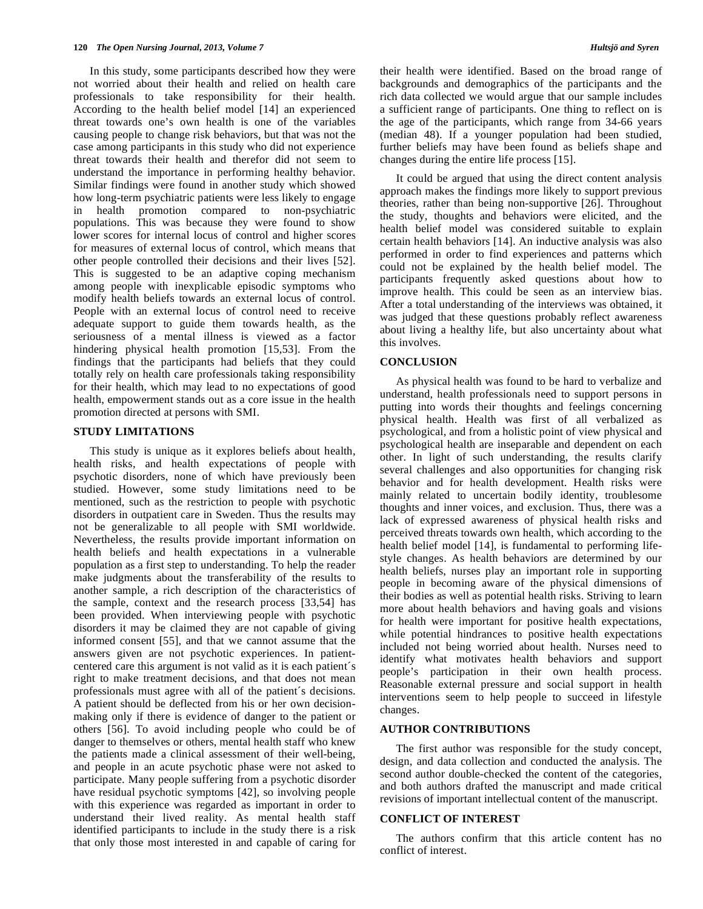In this study, some participants described how they were not worried about their health and relied on health care professionals to take responsibility for their health. According to the health belief model [14] an experienced threat towards one's own health is one of the variables causing people to change risk behaviors, but that was not the case among participants in this study who did not experience threat towards their health and therefor did not seem to understand the importance in performing healthy behavior. Similar findings were found in another study which showed how long-term psychiatric patients were less likely to engage in health promotion compared to non-psychiatric populations. This was because they were found to show lower scores for internal locus of control and higher scores for measures of external locus of control, which means that other people controlled their decisions and their lives [52]. This is suggested to be an adaptive coping mechanism among people with inexplicable episodic symptoms who modify health beliefs towards an external locus of control. People with an external locus of control need to receive adequate support to guide them towards health, as the seriousness of a mental illness is viewed as a factor hindering physical health promotion [15,53]. From the findings that the participants had beliefs that they could totally rely on health care professionals taking responsibility for their health, which may lead to no expectations of good health, empowerment stands out as a core issue in the health promotion directed at persons with SMI.

## **STUDY LIMITATIONS**

 This study is unique as it explores beliefs about health, health risks, and health expectations of people with psychotic disorders, none of which have previously been studied. However, some study limitations need to be mentioned, such as the restriction to people with psychotic disorders in outpatient care in Sweden. Thus the results may not be generalizable to all people with SMI worldwide. Nevertheless, the results provide important information on health beliefs and health expectations in a vulnerable population as a first step to understanding. To help the reader make judgments about the transferability of the results to another sample, a rich description of the characteristics of the sample, context and the research process [33,54] has been provided. When interviewing people with psychotic disorders it may be claimed they are not capable of giving informed consent [55], and that we cannot assume that the answers given are not psychotic experiences. In patientcentered care this argument is not valid as it is each patient´s right to make treatment decisions, and that does not mean professionals must agree with all of the patient´s decisions. A patient should be deflected from his or her own decisionmaking only if there is evidence of danger to the patient or others [56]. To avoid including people who could be of danger to themselves or others, mental health staff who knew the patients made a clinical assessment of their well-being, and people in an acute psychotic phase were not asked to participate. Many people suffering from a psychotic disorder have residual psychotic symptoms [42], so involving people with this experience was regarded as important in order to understand their lived reality. As mental health staff identified participants to include in the study there is a risk that only those most interested in and capable of caring for

their health were identified. Based on the broad range of backgrounds and demographics of the participants and the rich data collected we would argue that our sample includes a sufficient range of participants. One thing to reflect on is the age of the participants, which range from 34-66 years (median 48). If a younger population had been studied, further beliefs may have been found as beliefs shape and changes during the entire life process [15].

 It could be argued that using the direct content analysis approach makes the findings more likely to support previous theories, rather than being non-supportive [26]. Throughout the study, thoughts and behaviors were elicited, and the health belief model was considered suitable to explain certain health behaviors [14]. An inductive analysis was also performed in order to find experiences and patterns which could not be explained by the health belief model. The participants frequently asked questions about how to improve health. This could be seen as an interview bias. After a total understanding of the interviews was obtained, it was judged that these questions probably reflect awareness about living a healthy life, but also uncertainty about what this involves.

## **CONCLUSION**

 As physical health was found to be hard to verbalize and understand, health professionals need to support persons in putting into words their thoughts and feelings concerning physical health. Health was first of all verbalized as psychological, and from a holistic point of view physical and psychological health are inseparable and dependent on each other. In light of such understanding, the results clarify several challenges and also opportunities for changing risk behavior and for health development. Health risks were mainly related to uncertain bodily identity, troublesome thoughts and inner voices, and exclusion. Thus, there was a lack of expressed awareness of physical health risks and perceived threats towards own health, which according to the health belief model [14], is fundamental to performing lifestyle changes. As health behaviors are determined by our health beliefs, nurses play an important role in supporting people in becoming aware of the physical dimensions of their bodies as well as potential health risks. Striving to learn more about health behaviors and having goals and visions for health were important for positive health expectations, while potential hindrances to positive health expectations included not being worried about health. Nurses need to identify what motivates health behaviors and support people's participation in their own health process. Reasonable external pressure and social support in health interventions seem to help people to succeed in lifestyle changes.

#### **AUTHOR CONTRIBUTIONS**

 The first author was responsible for the study concept, design, and data collection and conducted the analysis. The second author double-checked the content of the categories, and both authors drafted the manuscript and made critical revisions of important intellectual content of the manuscript.

## **CONFLICT OF INTEREST**

 The authors confirm that this article content has no conflict of interest.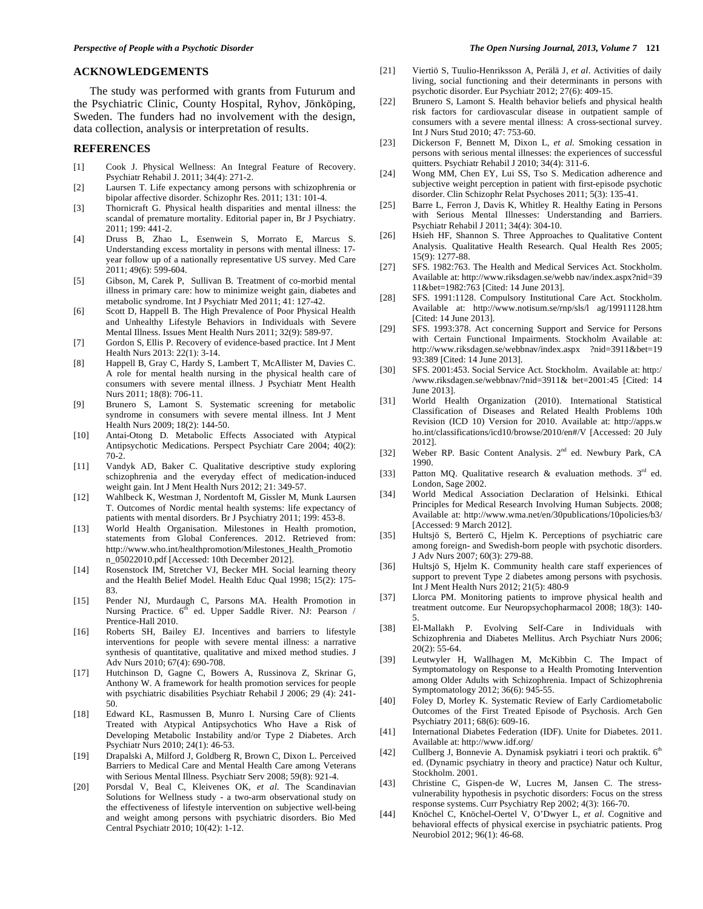#### **ACKNOWLEDGEMENTS**

 The study was performed with grants from Futurum and the Psychiatric Clinic, County Hospital, Ryhov, Jönköping, Sweden. The funders had no involvement with the design, data collection, analysis or interpretation of results.

## **REFERENCES**

- [1] Cook J. Physical Wellness: An Integral Feature of Recovery. Psychiatr Rehabil J. 2011; 34(4): 271-2.
- [2] Laursen T. Life expectancy among persons with schizophrenia or bipolar affective disorder. Schizophr Res. 2011; 131: 101-4.
- [3] Thornicraft G. Physical health disparities and mental illness: the scandal of premature mortality. Editorial paper in, Br J Psychiatry. 2011; 199: 441-2.
- [4] Druss B, Zhao L, Esenwein S, Morrato E, Marcus S. Understanding excess mortality in persons with mental illness: 17 year follow up of a nationally representative US survey. Med Care 2011; 49(6): 599-604.
- [5] Gibson, M, Carek P, Sullivan B. Treatment of co-morbid mental illness in primary care: how to minimize weight gain, diabetes and metabolic syndrome. Int J Psychiatr Med 2011; 41: 127-42.
- [6] Scott D, Happell B. The High Prevalence of Poor Physical Health and Unhealthy Lifestyle Behaviors in Individuals with Severe Mental Illness. Issues Ment Health Nurs 2011; 32(9): 589-97.
- [7] Gordon S, Ellis P. Recovery of evidence-based practice. Int J Ment Health Nurs 2013: 22(1): 3-14.
- [8] Happell B, Gray C, Hardy S, Lambert T, McAllister M, Davies C. A role for mental health nursing in the physical health care of consumers with severe mental illness. J Psychiatr Ment Health Nurs 2011; 18(8): 706-11.
- [9] Brunero S, Lamont S. Systematic screening for metabolic syndrome in consumers with severe mental illness. Int J Ment Health Nurs 2009; 18(2): 144-50.
- [10] Antai-Otong D. Metabolic Effects Associated with Atypical Antipsychotic Medications. Perspect Psychiatr Care 2004; 40(2): 70-2.
- [11] Vandyk AD, Baker C. Qualitative descriptive study exploring schizophrenia and the everyday effect of medication-induced weight gain. Int J Ment Health Nurs 2012; 21: 349-57.
- [12] Wahlbeck K, Westman J, Nordentoft M, Gissler M, Munk Laursen T. Outcomes of Nordic mental health systems: life expectancy of patients with mental disorders. Br J Psychiatry 2011; 199: 453-8.
- [13] World Health Organisation. Milestones in Health promotion, statements from Global Conferences. 2012. Retrieved from: http://www.who.int/healthpromotion/Milestones\_Health\_Promotio n\_05022010.pdf [Accessed: 10th December 2012].
- [14] Rosenstock IM, Stretcher VJ, Becker MH. Social learning theory and the Health Belief Model. Health Educ Qual 1998; 15(2): 175- 83.
- [15] Pender NJ, Murdaugh C, Parsons MA. Health Promotion in Nursing Practice. 6<sup>th</sup> ed. Upper Saddle River. NJ: Pearson / Prentice-Hall 2010.
- [16] Roberts SH, Bailey EJ. Incentives and barriers to lifestyle interventions for people with severe mental illness: a narrative synthesis of quantitative, qualitative and mixed method studies. J Adv Nurs 2010; 67(4): 690-708.
- [17] Hutchinson D, Gagne C, Bowers A, Russinova Z, Skrinar G, Anthony W. A framework for health promotion services for people with psychiatric disabilities Psychiatr Rehabil J 2006; 29 (4): 241- 50.
- [18] Edward KL, Rasmussen B, Munro I. Nursing Care of Clients Treated with Atypical Antipsychotics Who Have a Risk of Developing Metabolic Instability and/or Type 2 Diabetes. Arch Psychiatr Nurs 2010; 24(1): 46-53.
- [19] Drapalski A, Milford J, Goldberg R, Brown C, Dixon L. Perceived Barriers to Medical Care and Mental Health Care among Veterans with Serious Mental Illness. Psychiatr Serv 2008; 59(8): 921-4.
- [20] Porsdal V, Beal C, Kleivenes OK, *et al*. The Scandinavian Solutions for Wellness study - a two-arm observational study on the effectiveness of lifestyle intervention on subjective well-being and weight among persons with psychiatric disorders. Bio Med Central Psychiatr 2010; 10(42): 1-12.
- [21] Viertiö S, Tuulio-Henriksson A, Perälä J, *et al*. Activities of daily living, social functioning and their determinants in persons with psychotic disorder. Eur Psychiatr 2012; 27(6): 409-15.
- [22] Brunero S, Lamont S. Health behavior beliefs and physical health risk factors for cardiovascular disease in outpatient sample of consumers with a severe mental illness: A cross-sectional survey. Int J Nurs Stud 2010; 47: 753-60.
- [23] Dickerson F, Bennett M, Dixon L, *et al*. Smoking cessation in persons with serious mental illnesses: the experiences of successful quitters. Psychiatr Rehabil J 2010; 34(4): 311-6.
- [24] Wong MM, Chen EY, Lui SS, Tso S. Medication adherence and subjective weight perception in patient with first-episode psychotic disorder. Clin Schizophr Relat Psychoses 2011; 5(3): 135-41.
- [25] Barre L, Ferron J, Davis K, Whitley R. Healthy Eating in Persons with Serious Mental Illnesses: Understanding and Barriers. Psychiatr Rehabil J 2011; 34(4): 304-10.
- [26] Hsieh HF, Shannon S. Three Approaches to Qualitative Content Analysis. Qualitative Health Research. Qual Health Res 2005; 15(9): 1277-88.
- [27] SFS. 1982:763. The Health and Medical Services Act. Stockholm. Available at: http://www.riksdagen.se/webb nav/index.aspx?nid=39 11&bet=1982:763 [Cited: 14 June 2013].
- [28] SFS. 1991:1128. Compulsory Institutional Care Act. Stockholm. Available at: http://www.notisum.se/rnp/sls/l ag/19911128.htm [Cited: 14 June 2013].
- [29] SFS. 1993:378. Act concerning Support and Service for Persons with Certain Functional Impairments. Stockholm Available at: http://www.riksdagen.se/webbnav/index.aspx ?nid=3911&bet=19 93:389 [Cited: 14 June 2013].
- [30] SFS. 2001:453. Social Service Act. Stockholm. Available at: http:/ /www.riksdagen.se/webbnav/?nid=3911& bet=2001:45 [Cited: 14 June 2013].
- [31] World Health Organization (2010). International Statistical Classification of Diseases and Related Health Problems 10th Revision (ICD 10) Version for 2010. Available at: http://apps.w ho.int/classifications/icd10/browse/2010/en#/V [Accessed: 20 July 2012].
- [32] Weber RP. Basic Content Analysis. 2<sup>nd</sup> ed. Newbury Park, CA 1990.
- [33] Patton MQ. Qualitative research & evaluation methods.  $3^{rd}$  ed. London, Sage 2002.
- [34] World Medical Association Declaration of Helsinki. Ethical Principles for Medical Research Involving Human Subjects. 2008; Available at: http://www.wma.net/en/30publications/10policies/b3/ [Accessed: 9 March 2012].
- [35] Hultsjö S, Berterö C, Hjelm K. Perceptions of psychiatric care among foreign- and Swedish-born people with psychotic disorders. J Adv Nurs 2007; 60(3): 279-88.
- [36] Hultsjö S, Hjelm K. Community health care staff experiences of support to prevent Type 2 diabetes among persons with psychosis. Int J Ment Health Nurs 2012; 21(5): 480-9
- [37] Llorca PM. Monitoring patients to improve physical health and treatment outcome. Eur Neuropsychopharmacol 2008; 18(3): 140- 5.
- [38] El-Mallakh P. Evolving Self-Care in Individuals with Schizophrenia and Diabetes Mellitus. Arch Psychiatr Nurs 2006;  $20(2)$ : 55-64.
- [39] Leutwyler H, Wallhagen M, McKibbin C. The Impact of Symptomatology on Response to a Health Promoting Intervention among Older Adults with Schizophrenia. Impact of Schizophrenia Symptomatology 2012; 36(6): 945-55.
- [40] Foley D, Morley K. Systematic Review of Early Cardiometabolic Outcomes of the First Treated Episode of Psychosis. Arch Gen Psychiatry 2011; 68(6): 609-16.
- [41] International Diabetes Federation (IDF). Unite for Diabetes. 2011. Available at: http://www.idf.org/
- [42] Cullberg J, Bonnevie A. Dynamisk psykiatri i teori och praktik. 6<sup>th</sup> ed. (Dynamic psychiatry in theory and practice) Natur och Kultur, Stockholm. 2001.
- [43] Christine C, Gispen-de W, Lucres M, Jansen C. The stressvulnerability hypothesis in psychotic disorders: Focus on the stress response systems. Curr Psychiatry Rep 2002; 4(3): 166-70.
- [44] Knöchel C, Knöchel-Oertel V, O'Dwyer L, *et al*. Cognitive and behavioral effects of physical exercise in psychiatric patients. Prog Neurobiol 2012; 96(1): 46-68.